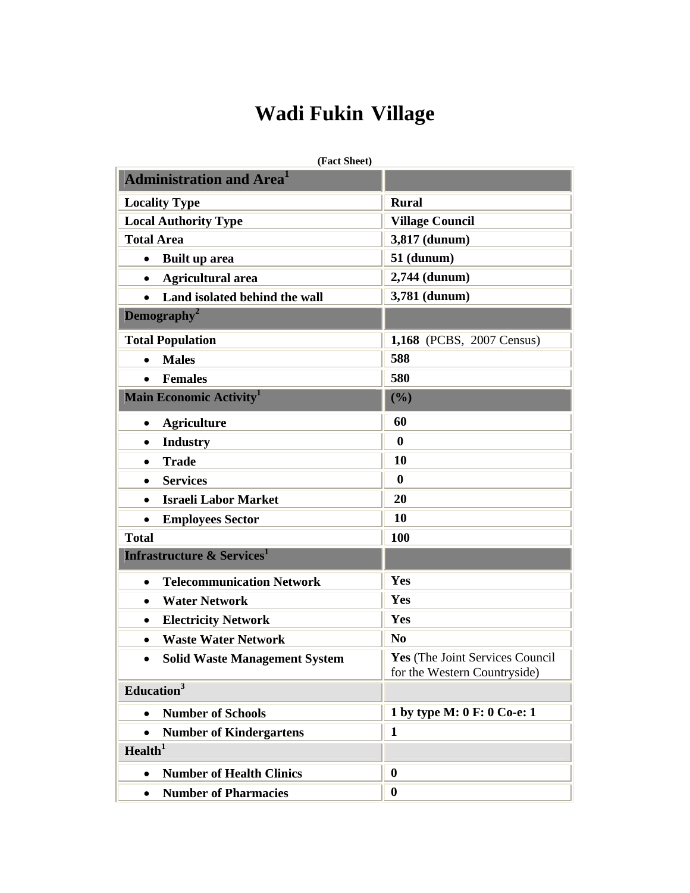## **Wadi Fukin Village**

| (Fact Sheet)                                      |                                                                 |
|---------------------------------------------------|-----------------------------------------------------------------|
| <b>Administration and Area</b>                    |                                                                 |
| <b>Locality Type</b>                              | <b>Rural</b>                                                    |
| <b>Local Authority Type</b>                       | <b>Village Council</b>                                          |
| <b>Total Area</b>                                 | 3,817 (dunum)                                                   |
| <b>Built up area</b><br>$\bullet$                 | 51 (dunum)                                                      |
| <b>Agricultural area</b><br>$\bullet$             | 2,744 (dunum)                                                   |
| Land isolated behind the wall<br>$\bullet$        | 3,781 (dunum)                                                   |
| Demography <sup>2</sup>                           |                                                                 |
| <b>Total Population</b>                           | 1,168 (PCBS, 2007 Census)                                       |
| <b>Males</b><br>$\bullet$                         | 588                                                             |
| <b>Females</b><br>$\bullet$                       | 580                                                             |
| <b>Main Economic Activity</b> <sup>1</sup>        | (%)                                                             |
| <b>Agriculture</b><br>$\bullet$                   | 60                                                              |
| <b>Industry</b><br>$\bullet$                      | $\boldsymbol{0}$                                                |
| <b>Trade</b><br>$\bullet$                         | 10                                                              |
| <b>Services</b><br>$\bullet$                      | $\boldsymbol{0}$                                                |
| <b>Israeli Labor Market</b><br>$\bullet$          | 20                                                              |
| <b>Employees Sector</b><br>$\bullet$              | 10                                                              |
| <b>Total</b>                                      | 100                                                             |
| <b>Infrastructure &amp; Services</b> <sup>1</sup> |                                                                 |
| <b>Telecommunication Network</b><br>$\bullet$     | Yes                                                             |
| <b>Water Network</b><br>$\bullet$                 | Yes                                                             |
| <b>Electricity Network</b><br>$\bullet$           | Yes                                                             |
| <b>Waste Water Network</b>                        | N <sub>0</sub>                                                  |
| <b>Solid Waste Management System</b>              | Yes (The Joint Services Council<br>for the Western Countryside) |
| Education <sup>3</sup>                            |                                                                 |
| <b>Number of Schools</b>                          | 1 by type M: 0 F: 0 Co-e: 1                                     |
| <b>Number of Kindergartens</b>                    | $\mathbf{1}$                                                    |
| Health <sup>1</sup>                               |                                                                 |
| <b>Number of Health Clinics</b><br>$\bullet$      | $\boldsymbol{0}$                                                |
| <b>Number of Pharmacies</b><br>$\bullet$          | $\bf{0}$                                                        |